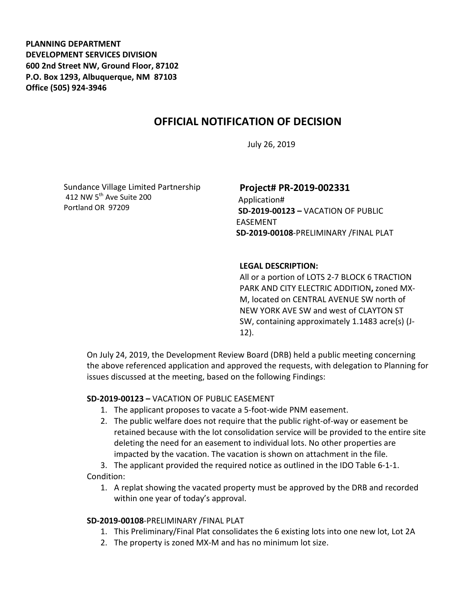**PLANNING DEPARTMENT DEVELOPMENT SERVICES DIVISION 600 2nd Street NW, Ground Floor, 87102 P.O. Box 1293, Albuquerque, NM 87103 Office (505) 924-3946** 

## **OFFICIAL NOTIFICATION OF DECISION**

July 26, 2019

Sundance Village Limited Partnership 412 NW 5<sup>th</sup> Ave Suite 200 Portland OR 97209

# **Project# PR-2019-002331**

Application# **SD-2019-00123 –** VACATION OF PUBLIC EASEMENT **SD-2019-00108**-PRELIMINARY /FINAL PLAT

### **LEGAL DESCRIPTION:**

All or a portion of LOTS 2-7 BLOCK 6 TRACTION PARK AND CITY ELECTRIC ADDITION**,** zoned MX-M, located on CENTRAL AVENUE SW north of NEW YORK AVE SW and west of CLAYTON ST SW, containing approximately 1.1483 acre(s) (J-12).

On July 24, 2019, the Development Review Board (DRB) held a public meeting concerning the above referenced application and approved the requests, with delegation to Planning for issues discussed at the meeting, based on the following Findings:

### **SD-2019-00123 –** VACATION OF PUBLIC EASEMENT

- 1. The applicant proposes to vacate a 5-foot-wide PNM easement.
- 2. The public welfare does not require that the public right-of-way or easement be retained because with the lot consolidation service will be provided to the entire site deleting the need for an easement to individual lots. No other properties are impacted by the vacation. The vacation is shown on attachment in the file.

3. The applicant provided the required notice as outlined in the IDO Table 6-1-1. Condition:

1. A replat showing the vacated property must be approved by the DRB and recorded within one year of today's approval.

### **SD-2019-00108**-PRELIMINARY /FINAL PLAT

- 1. This Preliminary/Final Plat consolidates the 6 existing lots into one new lot, Lot 2A
- 2. The property is zoned MX-M and has no minimum lot size.